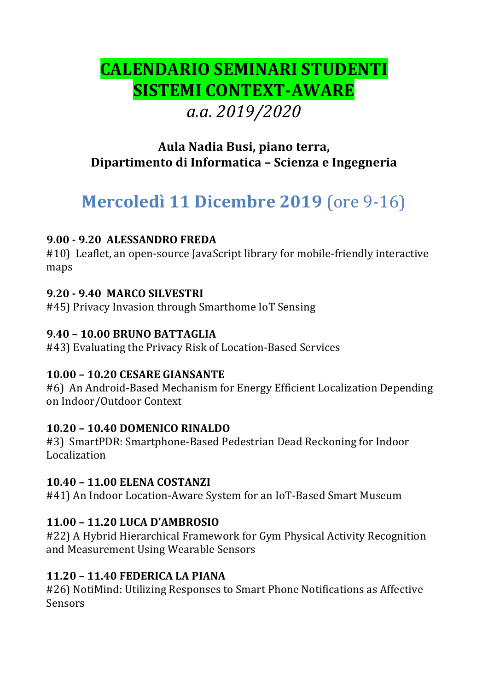# **CALENDARIO SEMINARI STUDENTI SISTEMI CONTEXT-AWARE** *a.a. 2019/2020*

## **Aula Nadia Busi, piano terra, Dipartimento di Informatica – Scienza e Ingegneria**

# **Mercoledì 11 Dicembre 2019** (ore 9-16)

## **9.00 - 9.20 ALESSANDRO FREDA**

#10) Leaflet, an open-source JavaScript library for mobile-friendly interactive maps

## **9.20 - 9.40 MARCO SILVESTRI**

#45) Privacy Invasion through Smarthome IoT Sensing

## **9.40 – 10.00 BRUNO BATTAGLIA**

#43) Evaluating the Privacy Risk of Location-Based Services

## **10.00 – 10.20 CESARE GIANSANTE**

#6) An Android-Based Mechanism for Energy Efficient Localization Depending on Indoor/Outdoor Context

## **10.20 – 10.40 DOMENICO RINALDO**

#3) SmartPDR: Smartphone-Based Pedestrian Dead Reckoning for Indoor Localization

## **10.40 – 11.00 ELENA COSTANZI**

#41) An Indoor Location-Aware System for an IoT-Based Smart Museum

## **11.00 – 11.20 LUCA D'AMBROSIO**

#22) A Hybrid Hierarchical Framework for Gym Physical Activity Recognition and Measurement Using Wearable Sensors

## **11.20 – 11.40 FEDERICA LA PIANA**

#26) NotiMind: Utilizing Responses to Smart Phone Notifications as Affective **Sensors**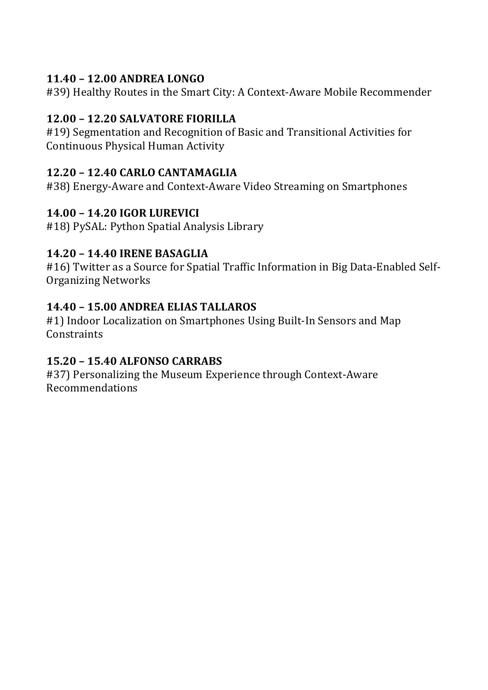## **11.40 – 12.00 ANDREA LONGO**

#39) Healthy Routes in the Smart City: A Context-Aware Mobile Recommender

## **12.00 – 12.20 SALVATORE FIORILLA**

#19) Segmentation and Recognition of Basic and Transitional Activities for Continuous Physical Human Activity

## **12.20 – 12.40 CARLO CANTAMAGLIA**

#38) Energy-Aware and Context-Aware Video Streaming on Smartphones

## **14.00 – 14.20 IGOR LUREVICI**

#18) PySAL: Python Spatial Analysis Library

## **14.20 – 14.40 IRENE BASAGLIA**

#16) Twitter as a Source for Spatial Traffic Information in Big Data-Enabled Self-Organizing Networks

## **14.40 – 15.00 ANDREA ELIAS TALLAROS**

#1) Indoor Localization on Smartphones Using Built-In Sensors and Map **Constraints** 

## **15.20 – 15.40 ALFONSO CARRABS**

#37) Personalizing the Museum Experience through Context-Aware Recommendations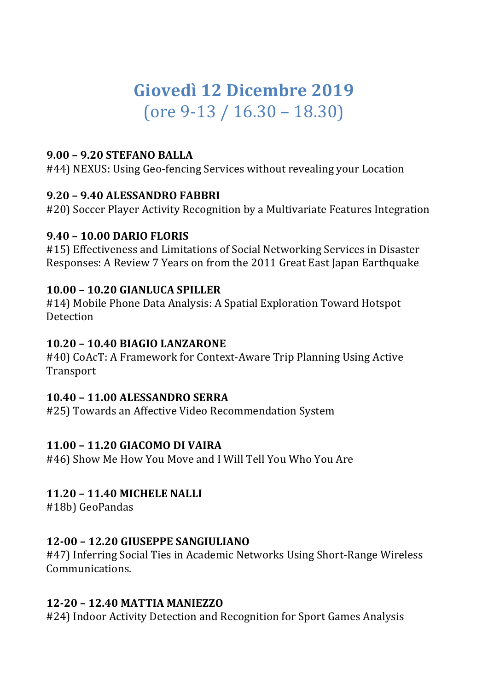# Giovedì 12 Dicembre 2019  $($ ore 9-13 / 16.30 – 18.30)

#### **9.00 – 9.20 STEFANO BALLA**

#44) NEXUS: Using Geo-fencing Services without revealing your Location

## **9.20 – 9.40 ALESSANDRO FABBRI**

#20) Soccer Player Activity Recognition by a Multivariate Features Integration

#### **9.40 – 10.00 DARIO FLORIS**

#15) Effectiveness and Limitations of Social Networking Services in Disaster Responses: A Review 7 Years on from the 2011 Great East Japan Earthquake

#### **10.00 – 10.20 GIANLUCA SPILLER**

#14) Mobile Phone Data Analysis: A Spatial Exploration Toward Hotspot Detection

#### **10.20 – 10.40 BIAGIO LANZARONE**

#40) CoAcT: A Framework for Context-Aware Trip Planning Using Active Transport

## **10.40 – 11.00 ALESSANDRO SERRA**

#25) Towards an Affective Video Recommendation System

## **11.00 – 11.20 GIACOMO DI VAIRA**

#46) Show Me How You Move and I Will Tell You Who You Are

## **11.20 – 11.40 MICHELE NALLI**

#18b) GeoPandas 

## **12-00 – 12.20 GIUSEPPE SANGIULIANO**

#47) Inferring Social Ties in Academic Networks Using Short-Range Wireless Communications. 

## **12-20 – 12.40 MATTIA MANIEZZO**

#24) Indoor Activity Detection and Recognition for Sport Games Analysis